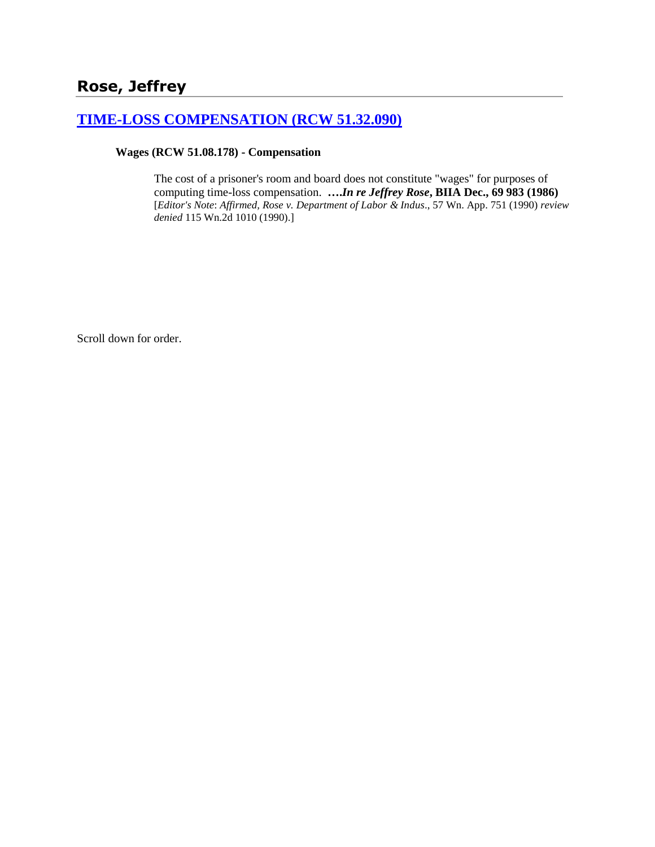# **Rose, Jeffrey**

### **[TIME-LOSS COMPENSATION \(RCW 51.32.090\)](http://www.biia.wa.gov/SDSubjectIndex.html#TIME_LOSS_COMPENSATION)**

#### **Wages (RCW 51.08.178) - Compensation**

The cost of a prisoner's room and board does not constitute "wages" for purposes of computing time-loss compensation. **….***In re Jeffrey Rose***, BIIA Dec., 69 983 (1986)**  [*Editor's Note*: *Affirmed, Rose v. Department of Labor & Indus*., 57 Wn. App. 751 (1990) *review denied* 115 Wn.2d 1010 (1990).]

Scroll down for order.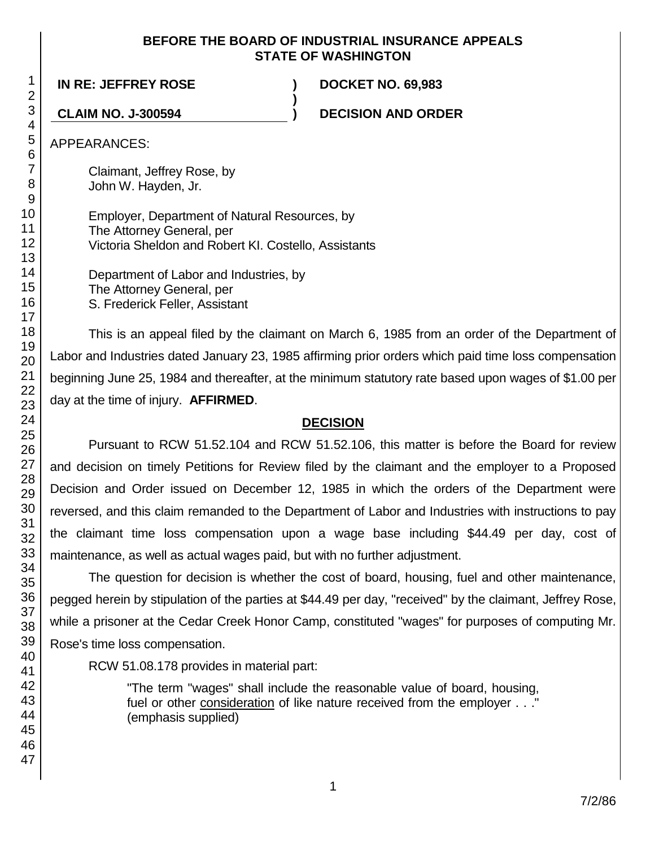#### **BEFORE THE BOARD OF INDUSTRIAL INSURANCE APPEALS STATE OF WASHINGTON**

**)**

**IN RE: JEFFREY ROSE ) DOCKET NO. 69,983**

**CLAIM NO. J-300594 ) DECISION AND ORDER**

APPEARANCES:

Claimant, Jeffrey Rose, by John W. Hayden, Jr.

Employer, Department of Natural Resources, by The Attorney General, per Victoria Sheldon and Robert KI. Costello, Assistants

Department of Labor and Industries, by The Attorney General, per S. Frederick Feller, Assistant

This is an appeal filed by the claimant on March 6, 1985 from an order of the Department of Labor and Industries dated January 23, 1985 affirming prior orders which paid time loss compensation beginning June 25, 1984 and thereafter, at the minimum statutory rate based upon wages of \$1.00 per day at the time of injury. **AFFIRMED**.

### **DECISION**

Pursuant to RCW 51.52.104 and RCW 51.52.106, this matter is before the Board for review and decision on timely Petitions for Review filed by the claimant and the employer to a Proposed Decision and Order issued on December 12, 1985 in which the orders of the Department were reversed, and this claim remanded to the Department of Labor and Industries with instructions to pay the claimant time loss compensation upon a wage base including \$44.49 per day, cost of maintenance, as well as actual wages paid, but with no further adjustment.

The question for decision is whether the cost of board, housing, fuel and other maintenance, pegged herein by stipulation of the parties at \$44.49 per day, "received" by the claimant, Jeffrey Rose, while a prisoner at the Cedar Creek Honor Camp, constituted "wages" for purposes of computing Mr. Rose's time loss compensation.

RCW 51.08.178 provides in material part:

"The term "wages" shall include the reasonable value of board, housing, fuel or other consideration of like nature received from the employer . . ." (emphasis supplied)

1